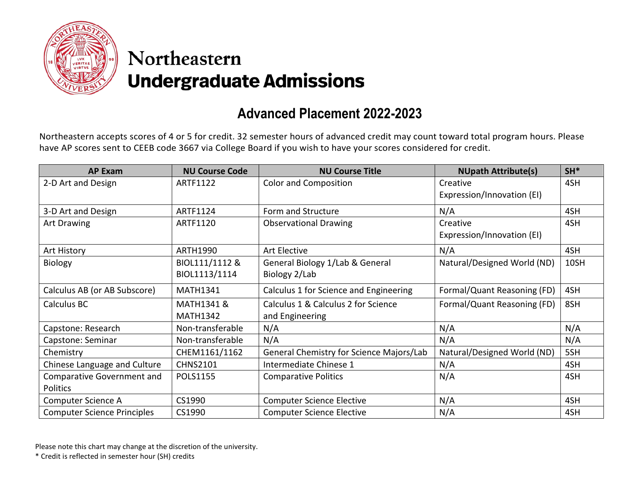

## Northeastern **Undergraduate Admissions**

## **Advanced Placement 2022-2023**

Northeastern accepts scores of 4 or 5 for credit. 32 semester hours of advanced credit may count toward total program hours. Please have AP scores sent to CEEB code 3667 via College Board if you wish to have your scores considered for credit.

| <b>AP Exam</b>                     | <b>NU Course Code</b> | <b>NU Course Title</b>                   | <b>NUpath Attribute(s)</b>  | $SH*$ |
|------------------------------------|-----------------------|------------------------------------------|-----------------------------|-------|
| 2-D Art and Design                 | ARTF1122              | <b>Color and Composition</b>             | Creative                    | 4SH   |
|                                    |                       |                                          | Expression/Innovation (EI)  |       |
| 3-D Art and Design                 | ARTF1124              | Form and Structure                       | N/A                         | 4SH   |
| <b>Art Drawing</b>                 | ARTF1120              | <b>Observational Drawing</b>             | Creative                    | 4SH   |
|                                    |                       |                                          | Expression/Innovation (EI)  |       |
| <b>Art History</b>                 | ARTH1990              | Art Elective                             | N/A                         | 4SH   |
| <b>Biology</b>                     | BIOL111/1112 &        | General Biology 1/Lab & General          | Natural/Designed World (ND) | 10SH  |
|                                    | BIOL1113/1114         | Biology 2/Lab                            |                             |       |
| Calculus AB (or AB Subscore)       | <b>MATH1341</b>       | Calculus 1 for Science and Engineering   | Formal/Quant Reasoning (FD) | 4SH   |
| Calculus BC                        | MATH1341 &            | Calculus 1 & Calculus 2 for Science      | Formal/Quant Reasoning (FD) | 8SH   |
|                                    | <b>MATH1342</b>       | and Engineering                          |                             |       |
| Capstone: Research                 | Non-transferable      | N/A                                      | N/A                         | N/A   |
| Capstone: Seminar                  | Non-transferable      | N/A                                      | N/A                         | N/A   |
| Chemistry                          | CHEM1161/1162         | General Chemistry for Science Majors/Lab | Natural/Designed World (ND) | 5SH   |
| Chinese Language and Culture       | <b>CHNS2101</b>       | Intermediate Chinese 1                   | N/A                         | 4SH   |
| Comparative Government and         | <b>POLS1155</b>       | <b>Comparative Politics</b>              | N/A                         | 4SH   |
| Politics                           |                       |                                          |                             |       |
| Computer Science A                 | CS1990                | <b>Computer Science Elective</b>         | N/A                         | 4SH   |
| <b>Computer Science Principles</b> | CS1990                | <b>Computer Science Elective</b>         | N/A                         | 4SH   |

Please note this chart may change at the discretion of the university.

\* Credit is reflected in semester hour (SH) credits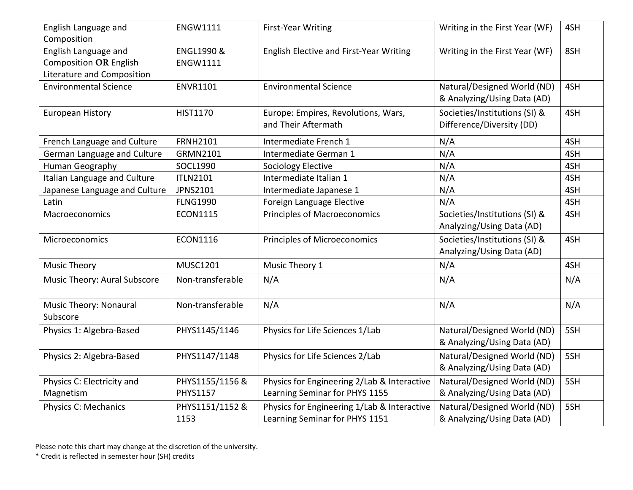| English Language and<br>Composition                   | <b>ENGW1111</b>                          | <b>First-Year Writing</b>                                                     | Writing in the First Year (WF)                             | 4SH |
|-------------------------------------------------------|------------------------------------------|-------------------------------------------------------------------------------|------------------------------------------------------------|-----|
| English Language and<br><b>Composition OR English</b> | <b>ENGL1990 &amp;</b><br><b>ENGW1111</b> | English Elective and First-Year Writing                                       | Writing in the First Year (WF)                             | 8SH |
| Literature and Composition                            |                                          |                                                                               |                                                            |     |
| <b>Environmental Science</b>                          | <b>ENVR1101</b>                          | <b>Environmental Science</b>                                                  | Natural/Designed World (ND)<br>& Analyzing/Using Data (AD) | 4SH |
| <b>European History</b>                               | HIST1170                                 | Europe: Empires, Revolutions, Wars,<br>and Their Aftermath                    | Societies/Institutions (SI) &<br>Difference/Diversity (DD) | 4SH |
| French Language and Culture                           | <b>FRNH2101</b>                          | Intermediate French 1                                                         | N/A                                                        | 4SH |
| German Language and Culture                           | GRMN2101                                 | Intermediate German 1                                                         | N/A                                                        | 4SH |
| Human Geography                                       | SOCL1990                                 | <b>Sociology Elective</b>                                                     | N/A                                                        | 4SH |
| Italian Language and Culture                          | <b>ITLN2101</b>                          | Intermediate Italian 1                                                        | N/A                                                        | 4SH |
| Japanese Language and Culture                         | JPNS2101                                 | Intermediate Japanese 1                                                       | N/A                                                        | 4SH |
| Latin                                                 | <b>FLNG1990</b>                          | Foreign Language Elective                                                     | N/A                                                        | 4SH |
| Macroeconomics                                        | <b>ECON1115</b>                          | <b>Principles of Macroeconomics</b>                                           | Societies/Institutions (SI) &<br>Analyzing/Using Data (AD) | 4SH |
| Microeconomics                                        | <b>ECON1116</b>                          | Principles of Microeconomics                                                  | Societies/Institutions (SI) &<br>Analyzing/Using Data (AD) | 4SH |
| <b>Music Theory</b>                                   | <b>MUSC1201</b>                          | Music Theory 1                                                                | N/A                                                        | 4SH |
| Music Theory: Aural Subscore                          | Non-transferable                         | N/A                                                                           | N/A                                                        | N/A |
| <b>Music Theory: Nonaural</b><br>Subscore             | Non-transferable                         | N/A                                                                           | N/A                                                        | N/A |
| Physics 1: Algebra-Based                              | PHYS1145/1146                            | Physics for Life Sciences 1/Lab                                               | Natural/Designed World (ND)<br>& Analyzing/Using Data (AD) | 5SH |
| Physics 2: Algebra-Based                              | PHYS1147/1148                            | Physics for Life Sciences 2/Lab                                               | Natural/Designed World (ND)<br>& Analyzing/Using Data (AD) | 5SH |
| Physics C: Electricity and<br>Magnetism               | PHYS1155/1156 &<br><b>PHYS1157</b>       | Physics for Engineering 2/Lab & Interactive<br>Learning Seminar for PHYS 1155 | Natural/Designed World (ND)<br>& Analyzing/Using Data (AD) | 5SH |
| Physics C: Mechanics                                  | PHYS1151/1152 &<br>1153                  | Physics for Engineering 1/Lab & Interactive<br>Learning Seminar for PHYS 1151 | Natural/Designed World (ND)<br>& Analyzing/Using Data (AD) | 5SH |

Please note this chart may change at the discretion of the university.

\* Credit is reflected in semester hour (SH) credits